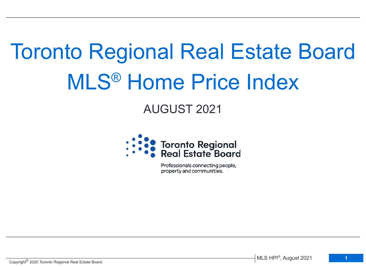# Toronto Regional Real Estate Board MLS® Home Price Index

# AUGUST 2021



Professionals connecting people, property and communities.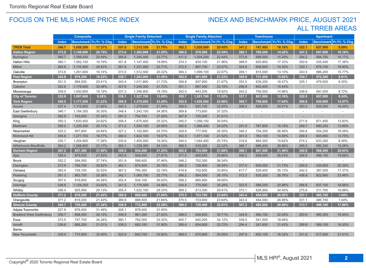#### FOCUS ON THE MLS HOME PRICE INDEX

## ALL TRREB AREAS INDEX AND BENCHMARK PRICE, AUGUST 2021

|                                  | <b>Composite</b>                         |           | <b>Single Family Detached</b>     |        |                                          | <b>Single Family Attached</b> |                                            |                          | <b>Townhouse</b> |                                         |         | <b>Apartment</b> |        |         |        |
|----------------------------------|------------------------------------------|-----------|-----------------------------------|--------|------------------------------------------|-------------------------------|--------------------------------------------|--------------------------|------------------|-----------------------------------------|---------|------------------|--------|---------|--------|
|                                  | Benchmark Yr./Yr. % Chg.<br><b>Index</b> |           | Benchmark Yr./Yr. % Chg.<br>Index |        | Benchmark Yr./Yr. % Chg.<br><b>Index</b> |                               | Yr./Yr. % Chg<br><b>Index</b><br>Benchmark |                          |                  | Benchmark Yr./Yr. % Chg<br><b>Index</b> |         |                  |        |         |        |
| <b>TREB Total</b>                | 346.7                                    | 1,059,200 | 17.37%                            | 351.0  | 1,313,100                                | 21.79%                        | 362.3                                      | 1,020,600                | 20.45%           | 347.2                                   | 747,400 | 16.16%           | 322.1  | 637,900 | 8.09%  |
| <b>Halton Region</b>             | 373.0                                    | 1,148,900 | 20.75%                            | 373.4  | 1,362,600                                | 21.55%                        | 386.6                                      | 978,500                  | 22.54%           | 368.1                                   | 709,200 | 14.42%           | 347.2  | 657,000 | 16.16% |
| <b>Burlington</b>                | 380.7                                    | 1,098,400 | 20.09%                            | 390.9  | 1,345,400                                | 22.77%                        | 411.9                                      | 1,004,200                | 22.44%           | 373.8                                   | 698,500 | 15.30%           | 354.2  | 584,700 | 16.17% |
| <b>Halton Hills</b>              | 360.1                                    | 1,062,100 | 19.79%                            | 351.8  | 1,147,400                                | 19.99%                        | 374.3                                      | 834,100                  | 21.96%           | 389.9                                   | 620,800 | 17.33%           | 350.6  | 535,400 | 17.38% |
| Milton                           | 364.8                                    | 1,110,400 | 24.63%                            | 361.6  | 1,331,900                                | 23.71%                        | 372.4                                      | 897,700                  | 23.07%           | 354.8                                   | 608,600 | 14.30%           | 330.1  | 679,100 | 16.60% |
| Oakville                         | 373.6                                    | 1,261,600 | 19.74%                            | 373.0  | 1,512,500                                | 20.32%                        | 394.3                                      | 1,099,100                | 22.87%           | 359.1                                   | 815,500 | 13.10%           | 343.5  | 686,200 | 15.77% |
| <b>Peel Region</b>               | 343.8                                    | 974,300   | 18.23%                            | 339.7  | 1,203,000                                | 21.45%                        | 352.9                                      | 901,800                  | 21.23%           | 345.9                                   | 731,400 | 15.92%           | 334.7  | 572,300 | 8.81%  |
| Brampton                         | 351.0                                    | 894,000   | 20.41%                            | 343.4  | 1,011,800                                | 21.73%                        | 358.8                                      | 837,900                  | 21.67%           | 353.5                                   | 639,200 | 18.47%           | 325.1  | 479,500 | 9.35%  |
| Caledon                          | 322.6                                    | 1,178,900 | 30.08%                            | 327.6  | 1,245,300                                | 31.72%                        | 351.1                                      | 867,400                  | 23.19%           | 296.8                                   | 642,400 | 15.44%           | $\sim$ |         |        |
| Mississauga                      | 339.0                                    | 1,000,800 | 15.19%                            | 337.2  | 1,346,800                                | 19.19%                        | 342.0                                      | 943,200                  | 19.92%           | 343.2                                   | 758,500 | 14.86%           | 336.6  | 591,000 | 8.72%  |
| <b>City of Toronto</b>           | 332.9                                    | 1,097,600 | 9.26%                             | 338.1  | 1,527,700                                | 13.00%                        | 355.7                                      | 1,201,700                | 11.02%           | 337.7                                   | 801,000 | 12.16%           | 322.0  | 657,000 | 6.24%  |
| <b>York Region</b>               | 345.5                                    | 1,177,200 | 21.23%                            | 356.9  | 1,379,800                                | 23.20%                        | 352.9                                      | 1,020,000                | 22.96%           | 308.7                                   | 798,800 | 17.64%           | 290.6  | 630,900 | 12.07% |
| Aurora                           | 337.4                                    | 1,115,900 | 21.85%                            | 340.3  | 1,278,600                                | 21.54%                        | 356.8                                      | 920,100                  | 23.20%           | 306.0                                   | 828,900 | 29.01%           | 293.3  | 629,300 | 16.44% |
| East Gwillimbury                 | 346.1                                    | 1,184,300 | 35.30%                            | 348.4  | 1,243,100                                | 34.36%                        | 369.8                                      | 773,600                  | 37.32%           | $\omega$                                |         | $\bar{a}$        | $\sim$ |         | $\sim$ |
| Georgina                         | 382.9                                    | 743,000   | 37.34%                            | 391.2  | 754,700                                  | 37.26%                        | 367.9                                      | 725,200                  | 31.91%           | $\sim$                                  |         |                  |        |         |        |
| King                             | 350.3                                    | 1,630,400 | 24.62%                            | 356.4  | 1,670,400                                | 25.32%                        | 345.0                                      | 1,058,100                | 30.04%           | $\sim$                                  |         | $\omega$         | 271.6  | 671,400 | 13.83% |
| Markham                          | 350.0                                    | 1,230,300 | 20.11%                            | 371.2  | 1,554,100                                | 20.95%                        | 365.6                                      | 1,088,400                | 24.02%           | 291.9                                   | 787,800 | 15.19%           | 299.7  | 690,200 | 13.69% |
| Newmarket                        | 325.2                                    | 957,600   | 24.84%                            | 327.2  | 1,102,800                                | 24.70%                        | 329.9                                      | 777,000                  | 26.35%           | 340.3                                   | 704,200 | 26.46%           | 294.6  | 504,200 | 16.08% |
| Richmond Hill                    | 355.6                                    | 1,277,700 | 18.77%                            | 380.0  | 1,623,100                                | 19.57%                        | 352.3                                      | 1,071,100                | 21.52%           | 301.0                                   | 763,100 | 14.58%           | 299.4  | 605,800 | 13.75% |
| Vaughan                          | 330.1                                    | 1,204,800 | 17.26%                            | 330.8  | 1,405,500                                | 19.34%                        | 344.0                                      | 1,044,400                | 20.74%           | 319.8                                   | 884,300 | 10.62%           | 274.2  | 633,300 | 8.38%  |
| <b>Whitchurch-Stouffville</b>    | 364.2                                    | 1,268,800 | 23.17%                            | 363.1  | 1,339,300                                | 24.14%                        | 368.0                                      | 918,200                  | 22.22%           | 386.7                                   | 686,400 | 28.86%           | 295.0  | 590,300 | 15.28% |
| <b>Durham Region</b>             | 367.2                                    | 857,300   | 31.00%                            | 358.0  | 934,200                                  | 31.33%                        | 382.8                                      | 763,500                  | 31.68%           | 386.1                                   | 607,500 | 31.46%           | 342.6  | 568,500 | 20.63% |
| Ajax                             | 356.4                                    | 879,000   | 27.83%                            | 353.9  | 949,400                                  | 27.81%                        | 371.0                                      | 800,600                  | 29.86%           | 350.2                                   | 658,000 | 26.43%           | 308.9  | 496,100 | 19.68% |
| <b>Brock</b>                     | 352.2                                    | 594,000   | 37.74%                            | 351.9  | 599,400                                  | 37.46%                        | 348.2                                      | 702,300                  | 38.34%           | $\sim$                                  | $\sim$  | $\sim$           | $\sim$ | $\sim$  | $\sim$ |
| Clarington                       | 373.9                                    | 789,700   | 35.62%                            | 363.1  | 874,500                                  | 35.79%                        | 380.5                                      | 726,900                  | 36.04%           | 377.0                                   | 609,000 | 31.73%           | 295.8  | 435,900 | 20.39% |
| Oshawa                           | 383.4                                    | 729,100   | 32.53%                            | 367.5  | 784,300                                  | 32.19%                        | 419.8                                      | 702,600                  | 33.95%           | 417.7                                   | 529,400 | 35.13%           | 342.5  | 387,500 | 17.37% |
| Pickering                        | 361.3                                    | 963,700   | 25.36%                            | 342.1  | 1,065,700                                | 25.77%                        | 366.2                                      | 854,500                  | 26.10%           | 372.3                                   | 635,200 | 26.76%           | 436.8  | 822,800 | 23.46% |
| Scugog                           | 357.0                                    | 916,600   | 34.26%                            | 352.4  | 934,100                                  | 35.02%                        | 358.2                                      | 665,900                  | 39.00%           | $\sim$                                  |         | $\sim$           | $\sim$ | $\sim$  |        |
| Uxbridge                         | 338.6                                    | 1,128,200 | 33.62%                            | 341.5  | 1,179,500                                | 34.98%                        | 334.4                                      | 775,500                  | 35.28%           | 323.0                                   | 588,200 | 20.88%           | 266.8  | 637,100 | 16.66% |
| Whitby                           | 356.4                                    | 925,900   | 29.13%                            | 355.4  | 1,022,100                                | 29.33%                        | 369.2                                      | 813,300                  | 29.41%           | 373.1                                   | 626,900 | 34.45%           | 275.6  | 511,700 | 19.98% |
| <b>Dufferin County</b>           | 371.2                                    | 819,200   | 21.43%                            | 389.9  | 888,600                                  | 21.84%                        | 375.5                                      | 703,700                  | 23.64%           | 343.4                                   | 454,000 | 26.95%           | 331.1  | 485,700 | 1.44%  |
| Orangeville                      | 371.2                                    | 819,200   | 21.43%                            | 389.9  | 888,500                                  | 21.84%                        | 375.5                                      | 703,600                  | 23.64%           | 343.4                                   | 454,000 | 26.95%           | 331.1  | 485,700 | 1.44%  |
| <b>Simcoe County</b>             | 345.7                                    | 755,200   | 31.34%                            | 336.9  | 772,900                                  | 32.38%                        | 390.5                                      | 729,400                  | 32.91%           | 307.2                                   | 485,000 | 20.66%           | 313.7  | 496,100 | 17.80% |
| Adjala-Tosorontio                | 327.8                                    | 876,400   | 31.49%                            | 328.1  | 878,500                                  | 31.45%                        | $\sim$                                     | $\overline{\phantom{a}}$ | $\sim$           | $\sim$                                  |         | ÷                | $\sim$ |         |        |
| <b>Bradford West Gwillimbury</b> | 358.7                                    | 898,000   | 28.15%                            | 336.9  | 961,200                                  | 27.52%                        | 398.0                                      | 838,600                  | 30.71%           | 344.9                                   | 560,100 | 22.05%           | 293.6  | 495,300 | 16.93% |
| Essa                             | 373.5                                    | 747,700   | 34.26%                            | 360.1  | 762,000                                  | 33.32%                        | 405.7                                      | 640,200                  | 34.12%           | 339.5                                   | 541,500 | 18.46%           | $\sim$ |         |        |
| Innisfil                         | 338.8                                    | 668,200   | 31.01%                            | 336.0  | 683,100                                  | 31.56%                        | 395.4                                      | 604,600                  | 33.72%           | 294.4                                   | 247,600 | 31.43%           | 299.8  | 589,100 | 16.20% |
| Barrie                           |                                          |           | $\sim$                            | $\sim$ |                                          |                               | $\sim$                                     |                          |                  |                                         |         | ÷.               | $\sim$ |         |        |
| New Tecumseth                    | 329.4                                    | 773,800   | 32.40%                            | 322.9  | 840,700                                  | 33.82%                        | 368.4                                      | 670,800                  | 35.09%           | 297.9                                   | 602,100 | 16.32%           | 331.8  | 517,500 | 21.01% |